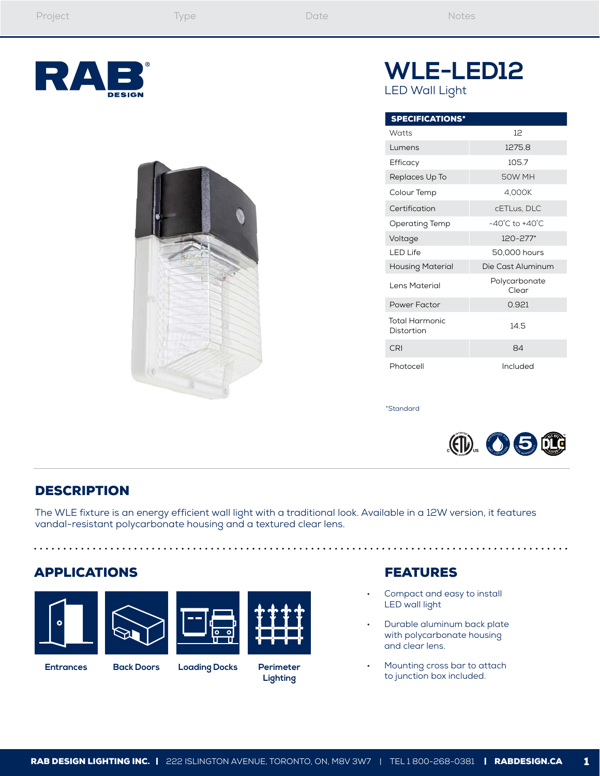



# **WLE-LED12** LED Wall Light

| <b>SPECIFICATIONS*</b>              |                                    |
|-------------------------------------|------------------------------------|
| Watts                               | $12^{1}$                           |
| Lumens                              | 1275.8                             |
| Efficacy                            | 1057                               |
| Replaces Up To                      | 50W MH                             |
| Colour Temp                         | 4.000K                             |
| Certification                       | cETLus. DLC                        |
| Operating Temp                      | $-40^{\circ}$ C to $+40^{\circ}$ C |
| Voltage                             | 120-277*                           |
| I FD Life                           | 50,000 hours                       |
| <b>Housing Material</b>             | Die Cast Aluminum                  |
| Lens Material                       | Polycarbonate<br>Clear             |
| Power Factor                        | 0.921                              |
| <b>Total Harmonic</b><br>Distortion | 14.5                               |
| CRI                                 | 84                                 |
| Photocell                           | Included                           |

\*Standard



## **DESCRIPTION**

The WLE fixture is an energy efficient wall light with a traditional look. Available in a 12W version, it features vandal-resistant polycarbonate housing and a textured clear lens.

### APPLICATIONS

. . . . . . . . . . . . .





. . . . . . . . . .



**Entrances Back Doors Loading Docks Perimeter Lighting**

### FEATURES

Compact and easy to install LED wall light

. . . . . . . . . . . . . . .

- Durable aluminum back plate with polycarbonate housing and clear lens.
- Mounting cross bar to attach to junction box included.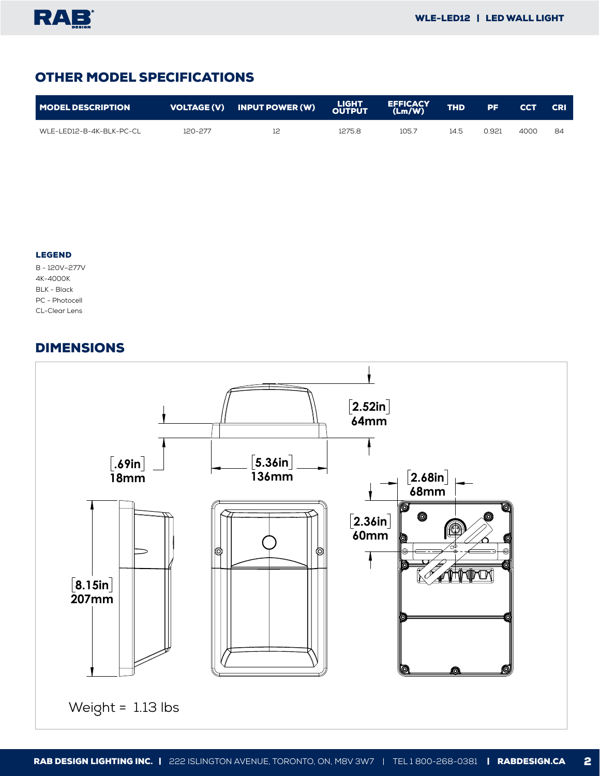# OTHER MODEL SPECIFICATIONS

| <b>MODEL DESCRIPTION</b> |         | VOLTAGE (V) INPUT POWER (W) LIGHT |        | <b>EFFICACY</b><br>(Lm/W) | <b>THD</b> | 7 PF. | <b>CCT</b> | <b>CRI</b> |
|--------------------------|---------|-----------------------------------|--------|---------------------------|------------|-------|------------|------------|
| WLE-LED12-B-4K-BLK-PC-CL | 120-277 |                                   | 1275.8 | 105.7                     | 14.5       | 0.921 | 4000       | 84         |

#### LEGEND

B - 120V–277V 4K-4000K BLK - Black PC - Photocell CL-Clear Lens

#### DIMENSIONS